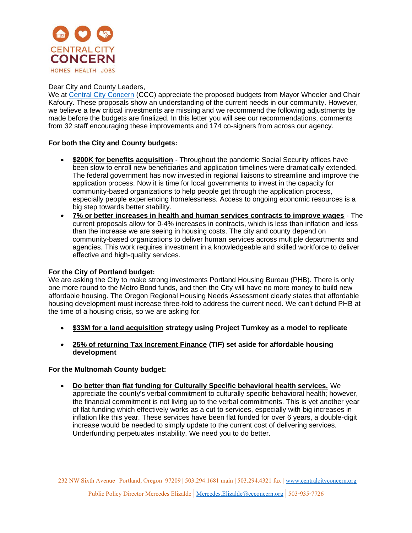

#### Dear City and County Leaders,

We at [Central City Concern](https://centralcityconcern.org/) (CCC) appreciate the proposed budgets from Mayor Wheeler and Chair Kafoury. These proposals show an understanding of the current needs in our community. However, we believe a few critical investments are missing and we recommend the following adjustments be made before the budgets are finalized. In this letter you will see our recommendations, comments from 32 staff encouraging these improvements and 174 co-signers from across our agency.

## **For both the City and County budgets:**

- **\$200K for benefits acquisition** Throughout the pandemic Social Security offices have been slow to enroll new beneficiaries and application timelines were dramatically extended. The federal government has now invested in regional liaisons to streamline and improve the application process. Now it is time for local governments to invest in the capacity for community-based organizations to help people get through the application process, especially people experiencing homelessness. Access to ongoing economic resources is a big step towards better stability.
- **7% or better increases in health and human services contracts to improve wages** The current proposals allow for 0-4% increases in contracts, which is less than inflation and less than the increase we are seeing in housing costs. The city and county depend on community-based organizations to deliver human services across multiple departments and agencies. This work requires investment in a knowledgeable and skilled workforce to deliver effective and high-quality services.

## **For the City of Portland budget:**

We are asking the City to make strong investments Portland Housing Bureau (PHB). There is only one more round to the Metro Bond funds, and then the City will have no more money to build new affordable housing. The Oregon Regional Housing Needs Assessment clearly states that affordable housing development must increase three-fold to address the current need. We can't defund PHB at the time of a housing crisis, so we are asking for:

- **\$33M for a land acquisition strategy using Project Turnkey as a model to replicate**
- **25% of returning Tax Increment Finance (TIF) set aside for affordable housing development**

#### **For the Multnomah County budget:**

• **Do better than flat funding for Culturally Specific behavioral health services.** We appreciate the county's verbal commitment to culturally specific behavioral health; however, the financial commitment is not living up to the verbal commitments. This is yet another year of flat funding which effectively works as a cut to services, especially with big increases in inflation like this year. These services have been flat funded for over 6 years, a double-digit increase would be needed to simply update to the current cost of delivering services. Underfunding perpetuates instability. We need you to do better.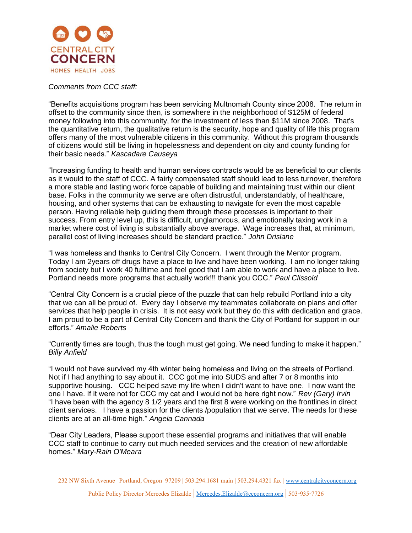

# *Comments from CCC staff:*

"Benefits acquisitions program has been servicing Multnomah County since 2008. The return in offset to the community since then, is somewhere in the neighborhood of \$125M of federal money following into this community, for the investment of less than \$11M since 2008. That's the quantitative return, the qualitative return is the security, hope and quality of life this program offers many of the most vulnerable citizens in this community. Without this program thousands of citizens would still be living in hopelessness and dependent on city and county funding for their basic needs." *Kascadare Causeya*

"Increasing funding to health and human services contracts would be as beneficial to our clients as it would to the staff of CCC. A fairly compensated staff should lead to less turnover, therefore a more stable and lasting work force capable of building and maintaining trust within our client base. Folks in the community we serve are often distrustful, understandably, of healthcare, housing, and other systems that can be exhausting to navigate for even the most capable person. Having reliable help guiding them through these processes is important to their success. From entry level up, this is difficult, unglamorous, and emotionally taxing work in a market where cost of living is substantially above average. Wage increases that, at minimum, parallel cost of living increases should be standard practice." *John Drislane*

"I was homeless and thanks to Central City Concern. I went through the Mentor program. Today I am 2years off drugs have a place to live and have been working. I am no longer taking from society but I work 40 fulltime and feel good that I am able to work and have a place to live. Portland needs more programs that actually work!!! thank you CCC." *Paul Clissold*

"Central City Concern is a crucial piece of the puzzle that can help rebuild Portland into a city that we can all be proud of. Every day I observe my teammates collaborate on plans and offer services that help people in crisis. It is not easy work but they do this with dedication and grace. I am proud to be a part of Central City Concern and thank the City of Portland for support in our efforts." *Amalie Roberts*

"Currently times are tough, thus the tough must get going. We need funding to make it happen." *Billy Anfield*

"I would not have survived my 4th winter being homeless and living on the streets of Portland. Not if I had anything to say about it. CCC got me into SUDS and after 7 or 8 months into supportive housing. CCC helped save my life when I didn't want to have one. I now want the one I have. If it were not for CCC my cat and I would not be here right now." *Rev (Gary) Irvin* "I have been with the agency 8 1/2 years and the first 8 were working on the frontlines in direct client services. I have a passion for the clients /population that we serve. The needs for these clients are at an all-time high." *Angela Cannada*

"Dear City Leaders, Please support these essential programs and initiatives that will enable CCC staff to continue to carry out much needed services and the creation of new affordable homes." *Mary-Rain O'Meara*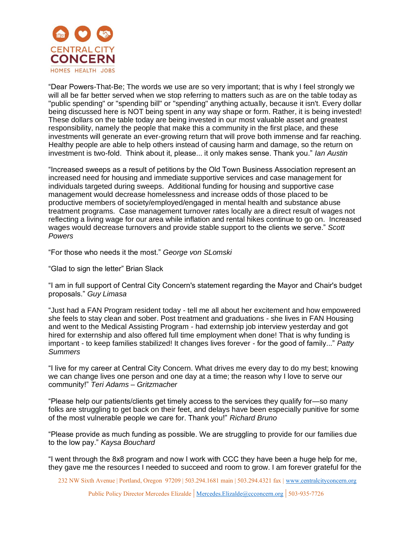

"Dear Powers-That-Be; The words we use are so very important; that is why I feel strongly we will all be far better served when we stop referring to matters such as are on the table today as "public spending" or "spending bill" or "spending" anything actually, because it isn't. Every dollar being discussed here is NOT being spent in any way shape or form. Rather, it is being invested! These dollars on the table today are being invested in our most valuable asset and greatest responsibility, namely the people that make this a community in the first place, and these investments will generate an ever-growing return that will prove both immense and far reaching. Healthy people are able to help others instead of causing harm and damage, so the return on investment is two-fold. Think about it, please... it only makes sense. Thank you." *Ian Austin*

"Increased sweeps as a result of petitions by the Old Town Business Association represent an increased need for housing and immediate supportive services and case management for individuals targeted during sweeps. Additional funding for housing and supportive case management would decrease homelessness and increase odds of those placed to be productive members of society/employed/engaged in mental health and substance abuse treatment programs. Case management turnover rates locally are a direct result of wages not reflecting a living wage for our area while inflation and rental hikes continue to go on. Increased wages would decrease turnovers and provide stable support to the clients we serve." *Scott Powers*

"For those who needs it the most." *George von SLomski*

"Glad to sign the letter" Brian Slack

"I am in full support of Central City Concern's statement regarding the Mayor and Chair's budget proposals." *Guy Limasa*

"Just had a FAN Program resident today - tell me all about her excitement and how empowered she feels to stay clean and sober. Post treatment and graduations - she lives in FAN Housing and went to the Medical Assisting Program - had externship job interview yesterday and got hired for externship and also offered full time employment when done! That is why funding is important - to keep families stabilized! It changes lives forever - for the good of family..." *Patty Summers*

"I live for my career at Central City Concern. What drives me every day to do my best; knowing we can change lives one person and one day at a time; the reason why I love to serve our community!" *Teri Adams – Gritzmacher*

"Please help our patients/clients get timely access to the services they qualify for—so many folks are struggling to get back on their feet, and delays have been especially punitive for some of the most vulnerable people we care for. Thank you!" *Richard Bruno*

"Please provide as much funding as possible. We are struggling to provide for our families due to the low pay." *Kaysa Bouchard*

"I went through the 8x8 program and now I work with CCC they have been a huge help for me, they gave me the resources I needed to succeed and room to grow. I am forever grateful for the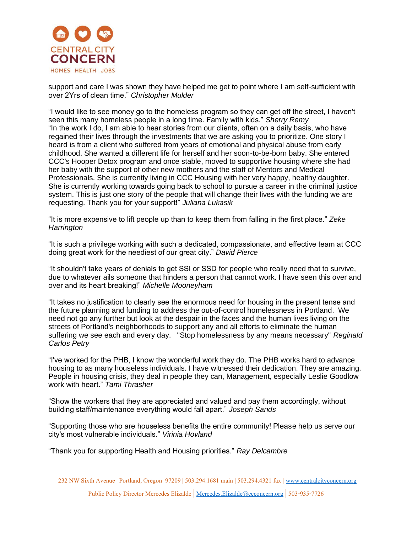

support and care I was shown they have helped me get to point where I am self-sufficient with over 2Yrs of clean time." *Christopher Mulder* 

"I would like to see money go to the homeless program so they can get off the street, I haven't seen this many homeless people in a long time. Family with kids." *Sherry Remy* "In the work I do, I am able to hear stories from our clients, often on a daily basis, who have regained their lives through the investments that we are asking you to prioritize. One story I heard is from a client who suffered from years of emotional and physical abuse from early childhood. She wanted a different life for herself and her soon-to-be-born baby. She entered CCC's Hooper Detox program and once stable, moved to supportive housing where she had her baby with the support of other new mothers and the staff of Mentors and Medical Professionals. She is currently living in CCC Housing with her very happy, healthy daughter. She is currently working towards going back to school to pursue a career in the criminal justice system. This is just one story of the people that will change their lives with the funding we are requesting. Thank you for your support!" *Juliana Lukasik*

"It is more expensive to lift people up than to keep them from falling in the first place." *Zeke Harrington*

"It is such a privilege working with such a dedicated, compassionate, and effective team at CCC doing great work for the neediest of our great city." *David Pierce*

"It shouldn't take years of denials to get SSI or SSD for people who really need that to survive, due to whatever ails someone that hinders a person that cannot work. I have seen this over and over and its heart breaking!" *Michelle Mooneyham*

"It takes no justification to clearly see the enormous need for housing in the present tense and the future planning and funding to address the out-of-control homelessness in Portland. We need not go any further but look at the despair in the faces and the human lives living on the streets of Portland's neighborhoods to support any and all efforts to eliminate the human suffering we see each and every day. "Stop homelessness by any means necessary" *Reginald Carlos Petry*

"I've worked for the PHB, I know the wonderful work they do. The PHB works hard to advance housing to as many houseless individuals. I have witnessed their dedication. They are amazing. People in housing crisis, they deal in people they can, Management, especially Leslie Goodlow work with heart." *Tami Thrasher*

"Show the workers that they are appreciated and valued and pay them accordingly, without building staff/maintenance everything would fall apart." *Joseph Sands*

"Supporting those who are houseless benefits the entire community! Please help us serve our city's most vulnerable individuals." *Virinia Hovland*

"Thank you for supporting Health and Housing priorities." *Ray Delcambre*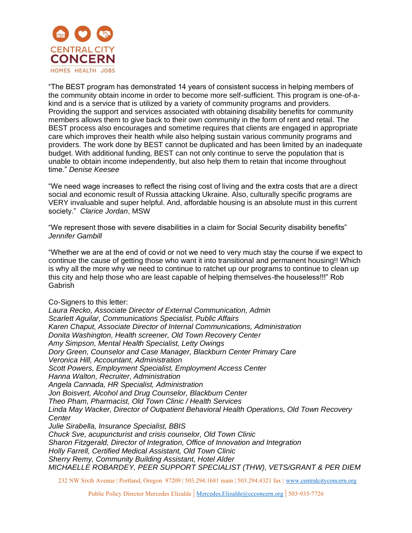

"The BEST program has demonstrated 14 years of consistent success in helping members of the community obtain income in order to become more self-sufficient. This program is one-of-akind and is a service that is utilized by a variety of community programs and providers. Providing the support and services associated with obtaining disability benefits for community members allows them to give back to their own community in the form of rent and retail. The BEST process also encourages and sometime requires that clients are engaged in appropriate care which improves their health while also helping sustain various community programs and providers. The work done by BEST cannot be duplicated and has been limited by an inadequate budget. With additional funding, BEST can not only continue to serve the population that is unable to obtain income independently, but also help them to retain that income throughout time." *Denise Keesee*

"We need wage increases to reflect the rising cost of living and the extra costs that are a direct social and economic result of Russia attacking Ukraine. Also, culturally specific programs are VERY invaluable and super helpful. And, affordable housing is an absolute must in this current society." *Clarice Jordan*, MSW

"We represent those with severe disabilities in a claim for Social Security disability benefits" *Jennifer Gambill*

"Whether we are at the end of covid or not we need to very much stay the course if we expect to continue the cause of getting those who want it into transitional and permanent housing!! Which is why all the more why we need to continue to ratchet up our programs to continue to clean up this city and help those who are least capable of helping themselves-the houseless!!!" Rob Gabrish

Co-Signers to this letter: *Laura Recko, Associate Director of External Communication, Admin Scarlett Aguilar, Communications Specialist, Public Affairs Karen Chaput, Associate Director of Internal Communications, Administration Donita Washington, Health screener, Old Town Recovery Center Amy Simpson, Mental Health Specialist, Letty Owings Dory Green, Counselor and Case Manager, Blackburn Center Primary Care Veronica Hill, Accountant, Administration Scott Powers, Employment Specialist, Employment Access Center Hanna Walton, Recruiter, Administration Angela Cannada, HR Specialist, Administration Jon Boisvert, Alcohol and Drug Counselor, Blackburn Center Theo Pham, Pharmacist, Old Town Clinic / Health Services Linda May Wacker, Director of Outpatient Behavioral Health Operations, Old Town Recovery Center Julie Sirabella, Insurance Specialist, BBIS Chuck Sve, acupuncturist and crisis counselor, Old Town Clinic Sharon Fitzgerald, Director of Integration, Office of Innovation and Integration Holly Farrell, Certified Medical Assistant, Old Town Clinic Sherry Remy, Community Building Assistant, Hotel Alder MICHAELLE ROBARDEY, PEER SUPPORT SPECIALIST (THW), VETS/GRANT & PER DIEM*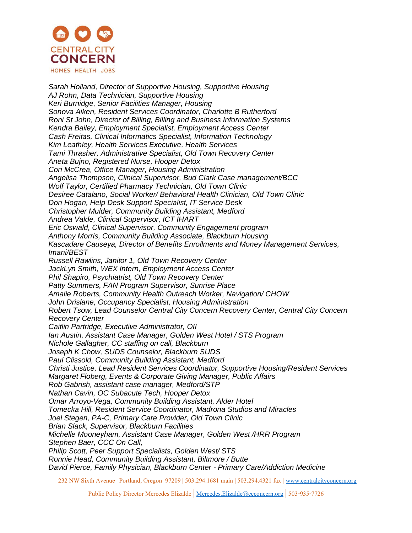

*Sarah Holland, Director of Supportive Housing, Supportive Housing AJ Rohn, Data Technician, Supportive Housing Keri Burnidge, Senior Facilities Manager, Housing Sonova Aiken, Resident Services Coordinator, Charlotte B Rutherford Roni St John, Director of Billing, Billing and Business Information Systems Kendra Bailey, Employment Specialist, Employment Access Center Cash Freitas, Clinical Informatics Specialist, Information Technology Kim Leathley, Health Services Executive, Health Services Tami Thrasher, Administrative Specialist, Old Town Recovery Center Aneta Bujno, Registered Nurse, Hooper Detox Cori McCrea, Office Manager, Housing Administration Angelisa Thompson, Clinical Supervisor, Bud Clark Case management/BCC Wolf Taylor, Certified Pharmacy Technician, Old Town Clinic Desiree Catalano, Social Worker/ Behavioral Health Clinician, Old Town Clinic Don Hogan, Help Desk Support Specialist, IT Service Desk Christopher Mulder, Community Building Assistant, Medford Andrea Valde, Clinical Supervisor, ICT IHART Eric Oswald, Clinical Supervisor, Community Engagement program Anthony Morris, Community Building Associate, Blackburn Housing Kascadare Causeya, Director of Benefits Enrollments and Money Management Services, Imani/BEST Russell Rawlins, Janitor 1, Old Town Recovery Center JackLyn Smith, WEX Intern, Employment Access Center Phil Shapiro, Psychiatrist, Old Town Recovery Center Patty Summers, FAN Program Supervisor, Sunrise Place Amalie Roberts, Community Health Outreach Worker, Navigation/ CHOW John Drislane, Occupancy Specialist, Housing Administration Robert Tsow, Lead Counselor Central City Concern Recovery Center, Central City Concern Recovery Center Caitlin Partridge, Executive Administrator, OII Ian Austin, Assistant Case Manager, Golden West Hotel / STS Program Nichole Gallagher, CC staffing on call, Blackburn Joseph K Chow, SUDS Counselor, Blackburn SUDS Paul Clissold, Community Building Assistant, Medford Christi Justice, Lead Resident Services Coordinator, Supportive Housing/Resident Services Margaret Floberg, Events & Corporate Giving Manager, Public Affairs Rob Gabrish, assistant case manager, Medford/STP Nathan Cavin, OC Subacute Tech, Hooper Detox Omar Arroyo-Vega, Community Building Assistant, Alder Hotel Tomecka Hill, Resident Service Coordinator, Madrona Studios and Miracles Joel Stegen, PA-C, Primary Care Provider, Old Town Clinic Brian Slack, Supervisor, Blackburn Facilities Michelle Mooneyham, Assistant Case Manager, Golden West /HRR Program Stephen Baer, CCC On Call, Philip Scott, Peer Support Specialists, Golden West/ STS Ronnie Head, Community Building Assistant, Biltmore / Butte David Pierce, Family Physician, Blackburn Center - Primary Care/Addiction Medicine*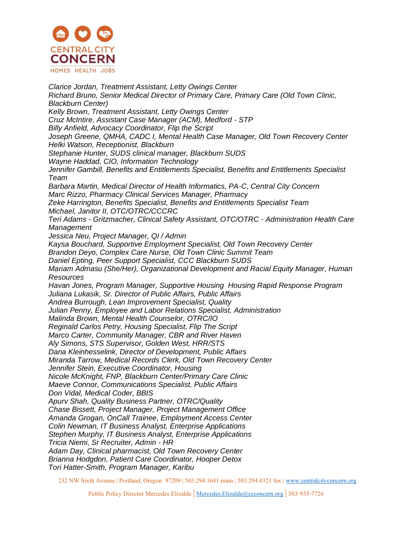

*Clarice Jordan, Treatment Assistant, Letty Owings Center Richard Bruno, Senior Medical Director of Primary Care, Primary Care (Old Town Clinic, Blackburn Center) Kelly Brown, Treatment Assistant, Letty Owings Center Cruz McIntire, Assistant Case Manager (ACM), Medford - STP Billy Anfield, Advocacy Coordinator, Flip the Script Joseph Greene, QMHA, CADC I, Mental Health Case Manager, Old Town Recovery Center Helki Watson, Receptionist, Blackburn Stephanie Hunter, SUDS clinical manager, Blackburn SUDS Wayne Haddad, CIO, Information Technology Jennifer Gambill, Benefits and Entitlements Specialist, Benefits and Entitlements Specialist Team Barbara Martin, Medical Director of Health Informatics, PA-C, Central City Concern Marc Rizzo, Pharmacy Clinical Services Manager, Pharmacy Zeke Harrington, Benefits Specialist, Benefits and Entitlements Specialist Team Michael, Janitor II, OTC/OTRC/CCCRC Teri Adams - Gritzmacher, Clinical Safety Assistant, OTC/OTRC - Administration Health Care Management Jessica Neu, Project Manager, QI / Admin Kaysa Bouchard, Supportive Employment Specialist, Old Town Recovery Center Brandon Deyo, Complex Care Nurse, Old Town Clinic Summit Team Daniel Epting, Peer Support Specialist, CCC Blackburn SUDS Mariam Admasu (She/Her), Organizational Development and Racial Equity Manager, Human Resources Havan Jones, Program Manager, Supportive Housing Housing Rapid Response Program Juliana Lukasik, Sr. Director of Public Affairs, Public Affairs Andrea Burrough, Lean Improvement Specialist, Quality Julian Penny, Employee and Labor Relations Specialist, Administration Malinda Brown, Mental Health Counselor, OTRC/IO Reginald Carlos Petry, Housing Specialist, Flip The Script Marco Carter, Community Manager, CBR and River Haven Aly Simons, STS Supervisor, Golden West, HRR/STS Dana Kleinhesselink, Director of Development, Public Affairs Miranda Tarrow, Medical Records Clerk, Old Town Recovery Center Jennifer Stein, Executive Coordinator, Housing Nicole McKnight, FNP, Blackburn Center/Primary Care Clinic Maeve Connor, Communications Specialist, Public Affairs Don Vidal, Medical Coder, BBIS Apurv Shah, Quality Business Partner, OTRC/Quality Chase Bissett, Project Manager, Project Management Office Amanda Grogan, OnCall Trainee, Employment Access Center Colin Newman, IT Business Analyst, Enterprise Applications Stephen Murphy, IT Business Analyst, Enterprise Applications Tricia Niemi, Sr Recruiter, Admin - HR Adam Day, Clinical pharmacist, Old Town Recovery Center Brianna Hodgdon, Patient Care Coordinator, Hooper Detox Tori Hatter-Smith, Program Manager, Karibu*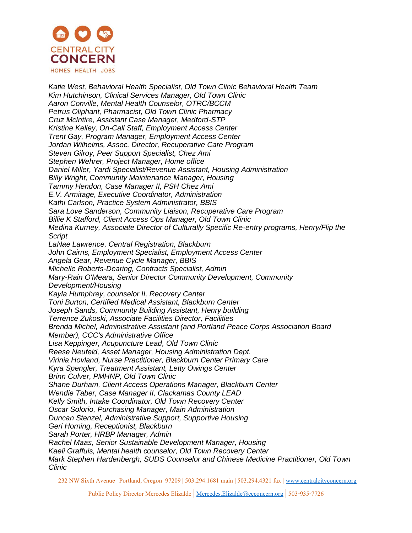

*Katie West, Behavioral Health Specialist, Old Town Clinic Behavioral Health Team Kim Hutchinson, Clinical Services Manager, Old Town Clinic Aaron Conville, Mental Health Counselor, OTRC/BCCM Petrus Oliphant, Pharmacist, Old Town Clinic Pharmacy Cruz McIntire, Assistant Case Manager, Medford-STP Kristine Kelley, On-Call Staff, Employment Access Center Trent Gay, Program Manager, Employment Access Center Jordan Wilhelms, Assoc. Director, Recuperative Care Program Steven Gilroy, Peer Support Specialist, Chez Ami Stephen Wehrer, Project Manager, Home office Daniel Miller, Yardi Specialist/Revenue Assistant, Housing Administration Billy Wright, Community Maintenance Manager, Housing Tammy Hendon, Case Manager II, PSH Chez Ami E.V. Armitage, Executive Coordinator, Administration Kathi Carlson, Practice System Administrator, BBIS Sara Love Sanderson, Community Liaison, Recuperative Care Program Billie K Stafford, Client Access Ops Manager, Old Town Clinic Medina Kurney, Associate Director of Culturally Specific Re-entry programs, Henry/Flip the Script LaNae Lawrence, Central Registration, Blackburn John Cairns, Employment Specialist, Employment Access Center Angela Gear, Revenue Cycle Manager, BBIS Michelle Roberts-Dearing, Contracts Specialist, Admin Mary-Rain O'Meara, Senior Director Community Development, Community Development/Housing Kayla Humphrey, counselor II, Recovery Center Toni Burton, Certified Medical Assistant, Blackburn Center Joseph Sands, Community Building Assistant, Henry building Terrence Zukoski, Associate Facilities Director, Facilities Brenda Michel, Administrative Assistant (and Portland Peace Corps Association Board Member), CCC's Administrative Office Lisa Keppinger, Acupuncture Lead, Old Town Clinic Reese Neufeld, Asset Manager, Housing Administration Dept. Virinia Hovland, Nurse Practitioner, Blackburn Center Primary Care Kyra Spengler, Treatment Assistant, Letty Owings Center Brinn Culver, PMHNP, Old Town Clinic Shane Durham, Client Access Operations Manager, Blackburn Center Wendie Taber, Case Manager II, Clackamas County LEAD Kelly Smith, Intake Coordinator, Old Town Recovery Center Oscar Solorio, Purchasing Manager, Main Administration Duncan Stenzel, Administrative Support, Supportive Housing Geri Horning, Receptionist, Blackburn Sarah Porter, HRBP Manager, Admin Rachel Maas, Senior Sustainable Development Manager, Housing Kaeli Graffuis, Mental health counselor, Old Town Recovery Center Mark Stephen Hardenbergh, SUDS Counselor and Chinese Medicine Practitioner, Old Town Clinic*